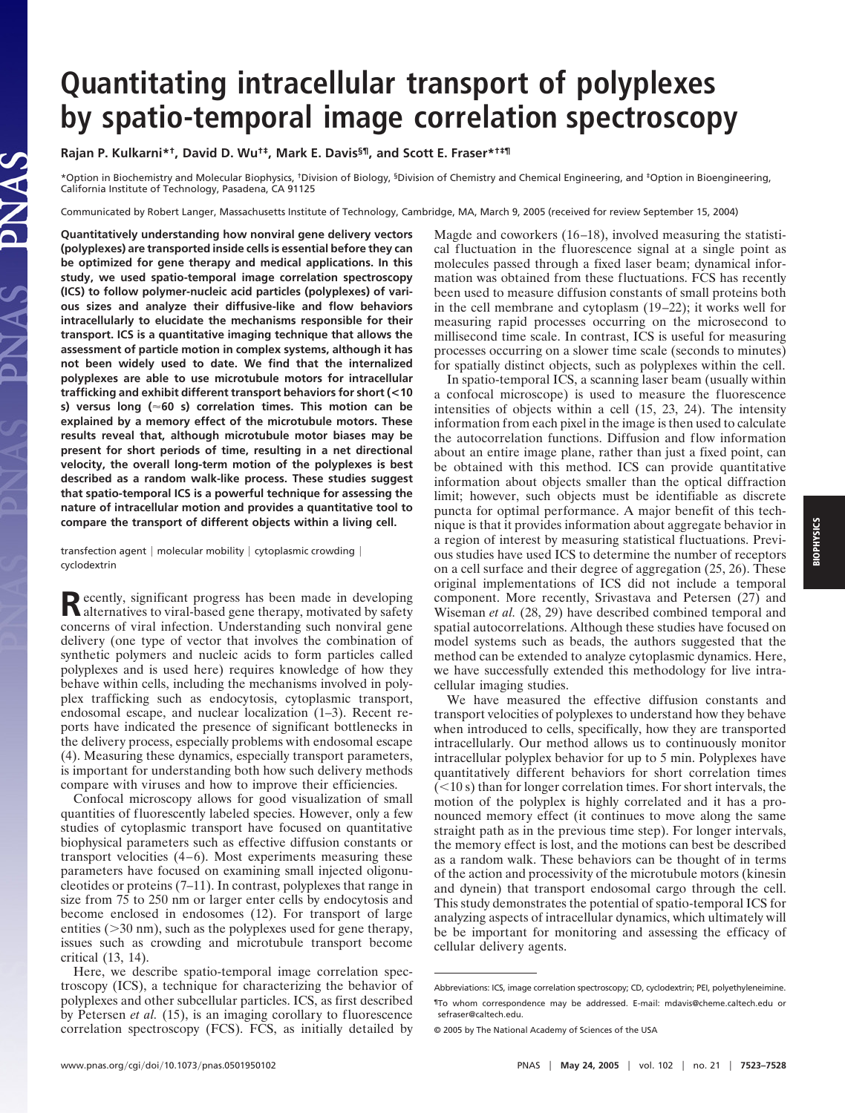## **Quantitating intracellular transport of polyplexes by spatio-temporal image correlation spectroscopy**

**Rajan P. Kulkarni\*†, David D. Wu†‡, Mark E. Davis§¶, and Scott E. Fraser\*†‡¶**

\*Option in Biochemistry and Molecular Biophysics, †Division of Biology, §Division of Chemistry and Chemical Engineering, and ‡Option in Bioengineering, California Institute of Technology, Pasadena, CA 91125

Communicated by Robert Langer, Massachusetts Institute of Technology, Cambridge, MA, March 9, 2005 (received for review September 15, 2004)

**Quantitatively understanding how nonviral gene delivery vectors (polyplexes) are transported inside cells is essential before they can be optimized for gene therapy and medical applications. In this study, we used spatio-temporal image correlation spectroscopy (ICS) to follow polymer-nucleic acid particles (polyplexes) of various sizes and analyze their diffusive-like and flow behaviors intracellularly to elucidate the mechanisms responsible for their transport. ICS is a quantitative imaging technique that allows the assessment of particle motion in complex systems, although it has not been widely used to date. We find that the internalized polyplexes are able to use microtubule motors for intracellular trafficking and exhibit different transport behaviors for short (<10 s) versus long (60 s) correlation times. This motion can be explained by a memory effect of the microtubule motors. These results reveal that, although microtubule motor biases may be present for short periods of time, resulting in a net directional velocity, the overall long-term motion of the polyplexes is best described as a random walk-like process. These studies suggest that spatio-temporal ICS is a powerful technique for assessing the nature of intracellular motion and provides a quantitative tool to compare the transport of different objects within a living cell.**

LAS

transfection agent  $|$  molecular mobility  $|$  cytoplasmic crowding  $|$ cyclodextrin

Recently, significant progress has been made in developing<br>alternatives to viral-based gene therapy, motivated by safety concerns of viral infection. Understanding such nonviral gene delivery (one type of vector that involves the combination of synthetic polymers and nucleic acids to form particles called polyplexes and is used here) requires knowledge of how they behave within cells, including the mechanisms involved in polyplex trafficking such as endocytosis, cytoplasmic transport, endosomal escape, and nuclear localization (1–3). Recent reports have indicated the presence of significant bottlenecks in the delivery process, especially problems with endosomal escape (4). Measuring these dynamics, especially transport parameters, is important for understanding both how such delivery methods compare with viruses and how to improve their efficiencies.

Confocal microscopy allows for good visualization of small quantities of fluorescently labeled species. However, only a few studies of cytoplasmic transport have focused on quantitative biophysical parameters such as effective diffusion constants or transport velocities (4–6). Most experiments measuring these parameters have focused on examining small injected oligonucleotides or proteins (7–11). In contrast, polyplexes that range in size from 75 to 250 nm or larger enter cells by endocytosis and become enclosed in endosomes (12). For transport of large entities  $($ >30 nm), such as the polyplexes used for gene therapy, issues such as crowding and microtubule transport become critical (13, 14).

Here, we describe spatio-temporal image correlation spectroscopy (ICS), a technique for characterizing the behavior of polyplexes and other subcellular particles. ICS, as first described by Petersen *et al.* (15), is an imaging corollary to fluorescence correlation spectroscopy (FCS). FCS, as initially detailed by Magde and coworkers (16–18), involved measuring the statistical fluctuation in the fluorescence signal at a single point as molecules passed through a fixed laser beam; dynamical information was obtained from these fluctuations. FCS has recently been used to measure diffusion constants of small proteins both in the cell membrane and cytoplasm (19–22); it works well for measuring rapid processes occurring on the microsecond to millisecond time scale. In contrast, ICS is useful for measuring processes occurring on a slower time scale (seconds to minutes) for spatially distinct objects, such as polyplexes within the cell.

In spatio-temporal ICS, a scanning laser beam (usually within a confocal microscope) is used to measure the fluorescence intensities of objects within a cell (15, 23, 24). The intensity information from each pixel in the image is then used to calculate the autocorrelation functions. Diffusion and flow information about an entire image plane, rather than just a fixed point, can be obtained with this method. ICS can provide quantitative information about objects smaller than the optical diffraction limit; however, such objects must be identifiable as discrete puncta for optimal performance. A major benefit of this technique is that it provides information about aggregate behavior in a region of interest by measuring statistical fluctuations. Previous studies have used ICS to determine the number of receptors on a cell surface and their degree of aggregation (25, 26). These original implementations of ICS did not include a temporal component. More recently, Srivastava and Petersen (27) and Wiseman *et al.* (28, 29) have described combined temporal and spatial autocorrelations. Although these studies have focused on model systems such as beads, the authors suggested that the method can be extended to analyze cytoplasmic dynamics. Here, we have successfully extended this methodology for live intracellular imaging studies.

We have measured the effective diffusion constants and transport velocities of polyplexes to understand how they behave when introduced to cells, specifically, how they are transported intracellularly. Our method allows us to continuously monitor intracellular polyplex behavior for up to 5 min. Polyplexes have quantitatively different behaviors for short correlation times  $(<10 s$ ) than for longer correlation times. For short intervals, the motion of the polyplex is highly correlated and it has a pronounced memory effect (it continues to move along the same straight path as in the previous time step). For longer intervals, the memory effect is lost, and the motions can best be described as a random walk. These behaviors can be thought of in terms of the action and processivity of the microtubule motors (kinesin and dynein) that transport endosomal cargo through the cell. This study demonstrates the potential of spatio-temporal ICS for analyzing aspects of intracellular dynamics, which ultimately will be be important for monitoring and assessing the efficacy of cellular delivery agents.

Abbreviations: ICS, image correlation spectroscopy; CD, cyclodextrin; PEI, polyethyleneimine. ¶To whom correspondence may be addressed. E-mail: mdavis@cheme.caltech.edu or sefraser@caltech.edu.

<sup>© 2005</sup> by The National Academy of Sciences of the USA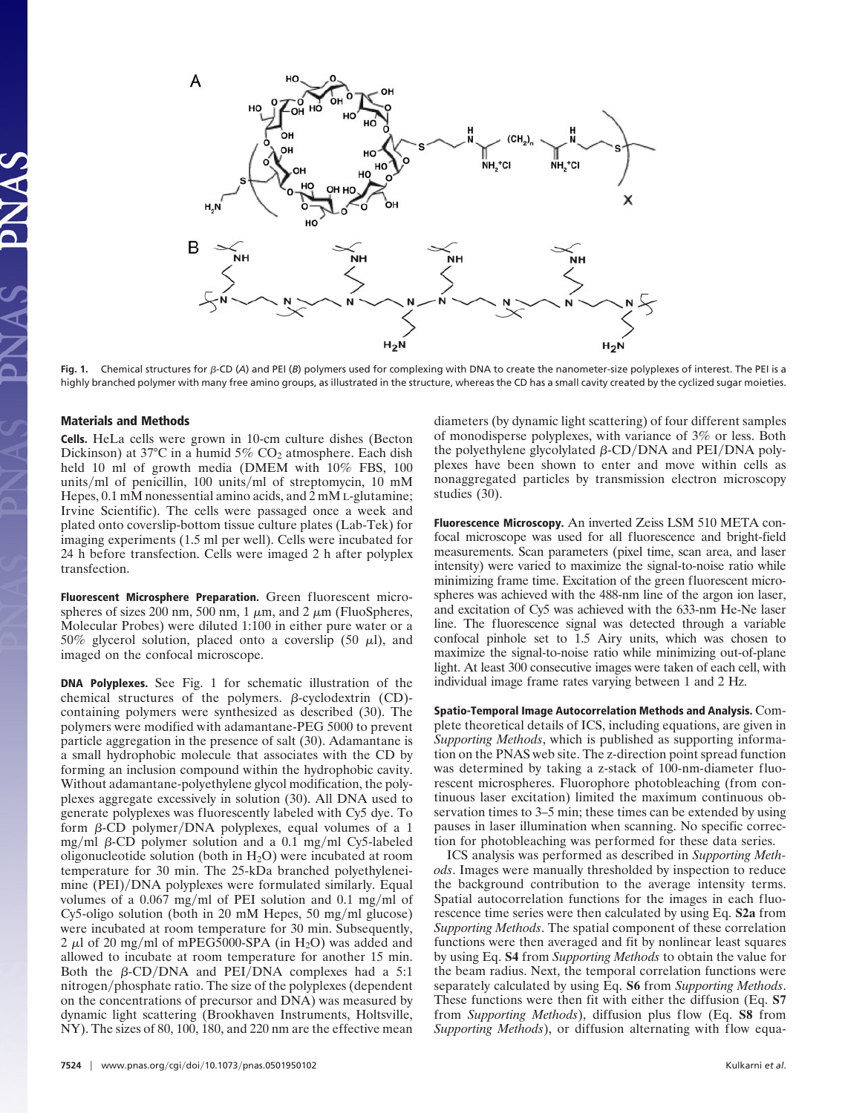

Fig. 1. Chemical structures for  $\beta$ -CD (A) and PEI (*B*) polymers used for complexing with DNA to create the nanometer-size polyplexes of interest. The PEI is a highly branched polymer with many free amino groups, as illustrated in the structure, whereas the CD has a small cavity created by the cyclized sugar moieties.

## **Materials and Methods**

**Cells.** HeLa cells were grown in 10-cm culture dishes (Becton Dickinson) at 37°C in a humid 5%  $CO<sub>2</sub>$  atmosphere. Each dish held 10 ml of growth media (DMEM with  $10\%$  FBS, 100 units/ml of penicillin, 100 units/ml of streptomycin, 10 mM Hepes, 0.1 mM nonessential amino acids, and 2 mM L-glutamine; Irvine Scientific). The cells were passaged once a week and plated onto coverslip-bottom tissue culture plates (Lab-Tek) for imaging experiments (1.5 ml per well). Cells were incubated for 24 h before transfection. Cells were imaged 2 h after polyplex transfection.

**Fluorescent Microsphere Preparation.** Green fluorescent microspheres of sizes 200 nm, 500 nm, 1  $\mu$ m, and 2  $\mu$ m (FluoSpheres, Molecular Probes) were diluted 1:100 in either pure water or a 50% glycerol solution, placed onto a coverslip (50  $\mu$ l), and imaged on the confocal microscope.

**DNA Polyplexes.** See Fig. 1 for schematic illustration of the chemical structures of the polymers.  $\beta$ -cyclodextrin (CD)containing polymers were synthesized as described (30). The polymers were modified with adamantane-PEG 5000 to prevent particle aggregation in the presence of salt (30). Adamantane is a small hydrophobic molecule that associates with the CD by forming an inclusion compound within the hydrophobic cavity. Without adamantane-polyethylene glycol modification, the polyplexes aggregate excessively in solution (30). All DNA used to generate polyplexes was fluorescently labeled with Cy5 dye. To form  $\beta$ -CD polymer/DNA polyplexes, equal volumes of a 1 mg/ml  $\beta$ -CD polymer solution and a 0.1 mg/ml Cy5-labeled oligonucleotide solution (both in  $H_2O$ ) were incubated at room temperature for 30 min. The 25-kDa branched polyethyleneimine (PEI)/DNA polyplexes were formulated similarly. Equal volumes of a  $0.067$  mg/ml of PEI solution and  $0.1$  mg/ml of  $Cy5-oligo$  solution (both in 20 mM Hepes, 50 mg/ml glucose) were incubated at room temperature for 30 min. Subsequently, 2  $\mu$ l of 20 mg/ml of mPEG5000-SPA (in H<sub>2</sub>O) was added and allowed to incubate at room temperature for another 15 min. Both the  $\beta$ -CD/DNA and PEI/DNA complexes had a 5:1 nitrogen/phosphate ratio. The size of the polyplexes (dependent on the concentrations of precursor and DNA) was measured by dynamic light scattering (Brookhaven Instruments, Holtsville, NY). The sizes of 80, 100, 180, and 220 nm are the effective mean diameters (by dynamic light scattering) of four different samples of monodisperse polyplexes, with variance of 3% or less. Both the polyethylene glycolylated  $\beta$ -CD/DNA and PEI/DNA polyplexes have been shown to enter and move within cells as nonaggregated particles by transmission electron microscopy studies (30).

**Fluorescence Microscopy.** An inverted Zeiss LSM 510 META confocal microscope was used for all fluorescence and bright-field measurements. Scan parameters (pixel time, scan area, and laser intensity) were varied to maximize the signal-to-noise ratio while minimizing frame time. Excitation of the green fluorescent microspheres was achieved with the 488-nm line of the argon ion laser, and excitation of Cy5 was achieved with the 633-nm He-Ne laser line. The fluorescence signal was detected through a variable confocal pinhole set to 1.5 Airy units, which was chosen to maximize the signal-to-noise ratio while minimizing out-of-plane light. At least 300 consecutive images were taken of each cell, with individual image frame rates varying between 1 and 2 Hz.

**Spatio-Temporal Image Autocorrelation Methods and Analysis.** Complete theoretical details of ICS, including equations, are given in *Supporting Methods*, which is published as supporting information on the PNAS web site. The z-direction point spread function was determined by taking a z-stack of 100-nm-diameter fluorescent microspheres. Fluorophore photobleaching (from continuous laser excitation) limited the maximum continuous observation times to 3–5 min; these times can be extended by using pauses in laser illumination when scanning. No specific correction for photobleaching was performed for these data series.

ICS analysis was performed as described in *Supporting Methods*. Images were manually thresholded by inspection to reduce the background contribution to the average intensity terms. Spatial autocorrelation functions for the images in each fluorescence time series were then calculated by using Eq. **S2a** from *Supporting Methods*. The spatial component of these correlation functions were then averaged and fit by nonlinear least squares by using Eq. **S4** from *Supporting Methods* to obtain the value for the beam radius. Next, the temporal correlation functions were separately calculated by using Eq. **S6** from *Supporting Methods*. These functions were then fit with either the diffusion (Eq. **S7** from *Supporting Methods*), diffusion plus flow (Eq. **S8** from *Supporting Methods*), or diffusion alternating with flow equa-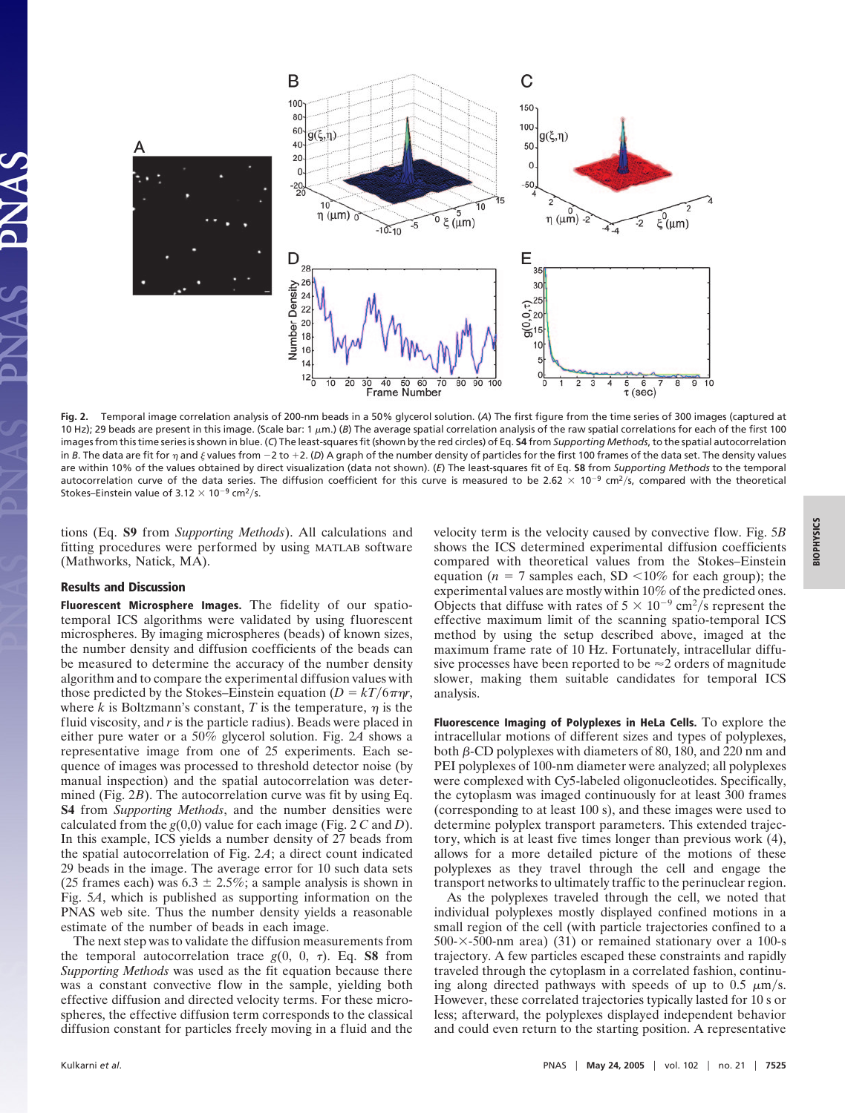

**Fig. 2.** Temporal image correlation analysis of 200-nm beads in a 50% glycerol solution. (*A*) The first figure from the time series of 300 images (captured at 10 Hz); 29 beads are present in this image. (Scale bar: 1  $\mu$ m.) (B) The average spatial correlation analysis of the raw spatial correlations for each of the first 100 images from this time series is shown in blue. (*C*) The least-squares fit (shown by the red circles) of Eq. **S4** from *Supporting Methods*, to the spatial autocorrelation in *B*. The data are fit for  $\eta$  and  $\xi$  values from  $-2$  to  $+2$ . (D) A graph of the number density of particles for the first 100 frames of the data set. The density values are within 10% of the values obtained by direct visualization (data not shown). (*E*) The least-squares fit of Eq. **S8** from *Supporting Methods* to the temporal autocorrelation curve of the data series. The diffusion coefficient for this curve is measured to be 2.62  $\times$  10<sup>-9</sup> cm<sup>2</sup>/s, compared with the theoretical Stokes–Einstein value of 3.12  $\times$  10<sup>-9</sup> cm<sup>2</sup>/s.

tions (Eq. **S9** from *Supporting Methods*). All calculations and fitting procedures were performed by using MATLAB software (Mathworks, Natick, MA).

## **Results and Discussion**

**Fluorescent Microsphere Images.** The fidelity of our spatiotemporal ICS algorithms were validated by using fluorescent microspheres. By imaging microspheres (beads) of known sizes, the number density and diffusion coefficients of the beads can be measured to determine the accuracy of the number density algorithm and to compare the experimental diffusion values with those predicted by the Stokes–Einstein equation  $(D = kT/6\pi\eta r$ , where  $k$  is Boltzmann's constant,  $T$  is the temperature,  $\eta$  is the fluid viscosity, and *r* is the particle radius). Beads were placed in either pure water or a 50% glycerol solution. Fig. 2*A* shows a representative image from one of 25 experiments. Each sequence of images was processed to threshold detector noise (by manual inspection) and the spatial autocorrelation was determined (Fig. 2*B*). The autocorrelation curve was fit by using Eq. **S4** from *Supporting Methods*, and the number densities were calculated from the *g*(0,0) value for each image (Fig. 2 *C* and *D*). In this example, ICS yields a number density of 27 beads from the spatial autocorrelation of Fig. 2*A*; a direct count indicated 29 beads in the image. The average error for 10 such data sets (25 frames each) was  $6.3 \pm 2.5\%$ ; a sample analysis is shown in Fig. 5*A*, which is published as supporting information on the PNAS web site. Thus the number density yields a reasonable estimate of the number of beads in each image.

The next step was to validate the diffusion measurements from the temporal autocorrelation trace  $g(0, 0, \tau)$ . Eq. **S8** from *Supporting Methods* was used as the fit equation because there was a constant convective flow in the sample, yielding both effective diffusion and directed velocity terms. For these microspheres, the effective diffusion term corresponds to the classical diffusion constant for particles freely moving in a fluid and the velocity term is the velocity caused by convective flow. Fig. 5*B* shows the ICS determined experimental diffusion coefficients compared with theoretical values from the Stokes–Einstein equation ( $n = 7$  samples each, SD <10% for each group); the experimental values are mostly within 10% of the predicted ones. Objects that diffuse with rates of  $5 \times 10^{-9}$  cm<sup>2</sup>/s represent the effective maximum limit of the scanning spatio-temporal ICS method by using the setup described above, imaged at the maximum frame rate of 10 Hz. Fortunately, intracellular diffusive processes have been reported to be  $\approx$  2 orders of magnitude slower, making them suitable candidates for temporal ICS analysis.

**Fluorescence Imaging of Polyplexes in HeLa Cells.** To explore the intracellular motions of different sizes and types of polyplexes, both  $\beta$ -CD polyplexes with diameters of 80, 180, and 220 nm and PEI polyplexes of 100-nm diameter were analyzed; all polyplexes were complexed with Cy5-labeled oligonucleotides. Specifically, the cytoplasm was imaged continuously for at least 300 frames (corresponding to at least 100 s), and these images were used to determine polyplex transport parameters. This extended trajectory, which is at least five times longer than previous work (4), allows for a more detailed picture of the motions of these polyplexes as they travel through the cell and engage the transport networks to ultimately traffic to the perinuclear region.

As the polyplexes traveled through the cell, we noted that individual polyplexes mostly displayed confined motions in a small region of the cell (with particle trajectories confined to a  $500-x-500$ -nm area) (31) or remained stationary over a 100-s trajectory. A few particles escaped these constraints and rapidly traveled through the cytoplasm in a correlated fashion, continuing along directed pathways with speeds of up to 0.5  $\mu$ m/s. However, these correlated trajectories typically lasted for 10 s or less; afterward, the polyplexes displayed independent behavior and could even return to the starting position. A representative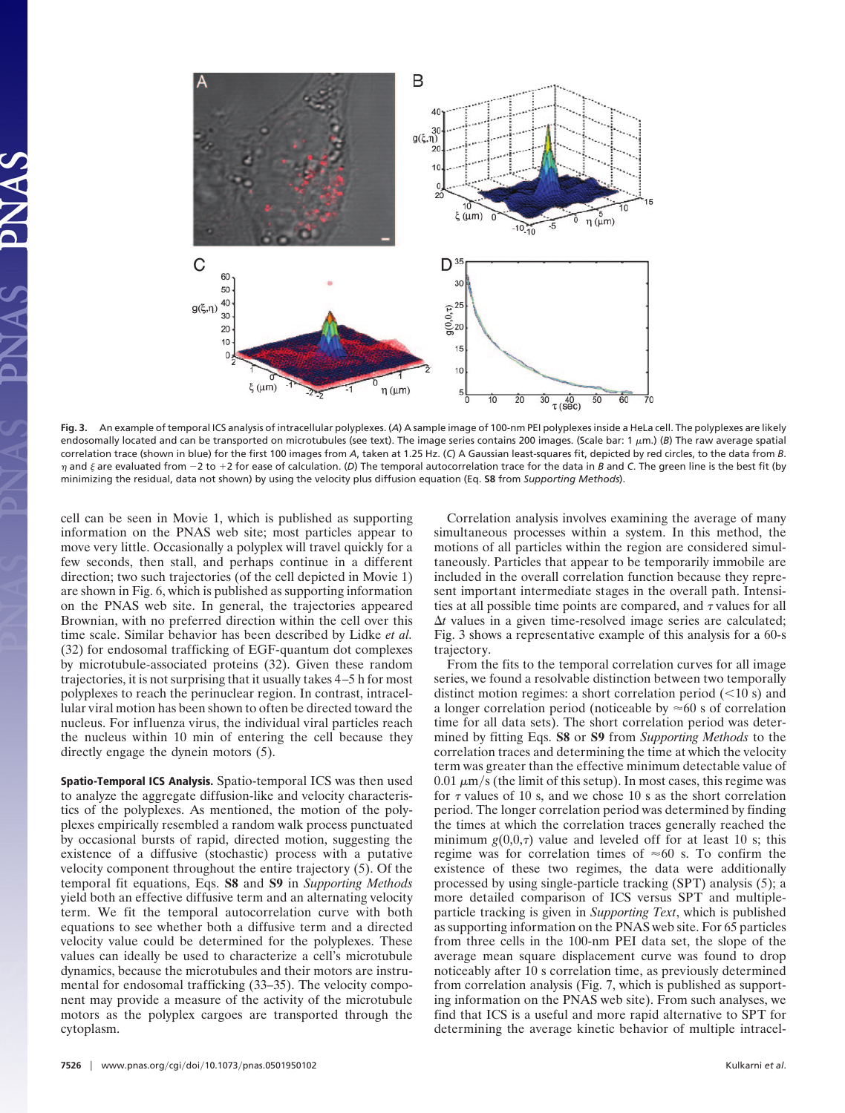

**Fig. 3.** An example of temporal ICS analysis of intracellular polyplexes. (*A*) A sample image of 100-nm PEI polyplexes inside a HeLa cell. The polyplexes are likely endosomally located and can be transported on microtubules (see text). The image series contains 200 images. (Scale bar: 1 µm.) (B) The raw average spatial correlation trace (shown in blue) for the first 100 images from *A*, taken at 1.25 Hz. (*C*) A Gaussian least-squares fit, depicted by red circles, to the data from *B*.  $\eta$  and  $\xi$  are evaluated from  $-2$  to  $+2$  for ease of calculation. (D) The temporal autocorrelation trace for the data in *B* and *C*. The green line is the best fit (by minimizing the residual, data not shown) by using the velocity plus diffusion equation (Eq. **S8** from *Supporting Methods*).

cell can be seen in Movie 1, which is published as supporting information on the PNAS web site; most particles appear to move very little. Occasionally a polyplex will travel quickly for a few seconds, then stall, and perhaps continue in a different direction; two such trajectories (of the cell depicted in Movie 1) are shown in Fig. 6, which is published as supporting information on the PNAS web site. In general, the trajectories appeared Brownian, with no preferred direction within the cell over this time scale. Similar behavior has been described by Lidke *et al.* (32) for endosomal trafficking of EGF-quantum dot complexes by microtubule-associated proteins (32). Given these random trajectories, it is not surprising that it usually takes 4–5 h for most polyplexes to reach the perinuclear region. In contrast, intracellular viral motion has been shown to often be directed toward the nucleus. For influenza virus, the individual viral particles reach the nucleus within 10 min of entering the cell because they directly engage the dynein motors (5).

**Spatio-Temporal ICS Analysis.** Spatio-temporal ICS was then used to analyze the aggregate diffusion-like and velocity characteristics of the polyplexes. As mentioned, the motion of the polyplexes empirically resembled a random walk process punctuated by occasional bursts of rapid, directed motion, suggesting the existence of a diffusive (stochastic) process with a putative velocity component throughout the entire trajectory (5). Of the temporal fit equations, Eqs. **S8** and **S9** in *Supporting Methods* yield both an effective diffusive term and an alternating velocity term. We fit the temporal autocorrelation curve with both equations to see whether both a diffusive term and a directed velocity value could be determined for the polyplexes. These values can ideally be used to characterize a cell's microtubule dynamics, because the microtubules and their motors are instrumental for endosomal trafficking (33–35). The velocity component may provide a measure of the activity of the microtubule motors as the polyplex cargoes are transported through the cytoplasm.

Correlation analysis involves examining the average of many simultaneous processes within a system. In this method, the motions of all particles within the region are considered simultaneously. Particles that appear to be temporarily immobile are included in the overall correlation function because they represent important intermediate stages in the overall path. Intensities at all possible time points are compared, and  $\tau$  values for all  $\Delta t$  values in a given time-resolved image series are calculated; Fig. 3 shows a representative example of this analysis for a 60-s trajectory.

From the fits to the temporal correlation curves for all image series, we found a resolvable distinction between two temporally distinct motion regimes: a short correlation period  $(<10 s$ ) and a longer correlation period (noticeable by  $\approx 60$  s of correlation time for all data sets). The short correlation period was determined by fitting Eqs. **S8** or **S9** from *Supporting Methods* to the correlation traces and determining the time at which the velocity term was greater than the effective minimum detectable value of  $0.01 \ \mu \text{m/s}$  (the limit of this setup). In most cases, this regime was for  $\tau$  values of 10 s, and we chose 10 s as the short correlation period. The longer correlation period was determined by finding the times at which the correlation traces generally reached the minimum  $g(0,0,\tau)$  value and leveled off for at least 10 s; this regime was for correlation times of  $\approx 60$  s. To confirm the existence of these two regimes, the data were additionally processed by using single-particle tracking (SPT) analysis (5); a more detailed comparison of ICS versus SPT and multipleparticle tracking is given in *Supporting Text*, which is published as supporting information on the PNAS web site. For 65 particles from three cells in the 100-nm PEI data set, the slope of the average mean square displacement curve was found to drop noticeably after 10 s correlation time, as previously determined from correlation analysis (Fig. 7, which is published as supporting information on the PNAS web site). From such analyses, we find that ICS is a useful and more rapid alternative to SPT for determining the average kinetic behavior of multiple intracel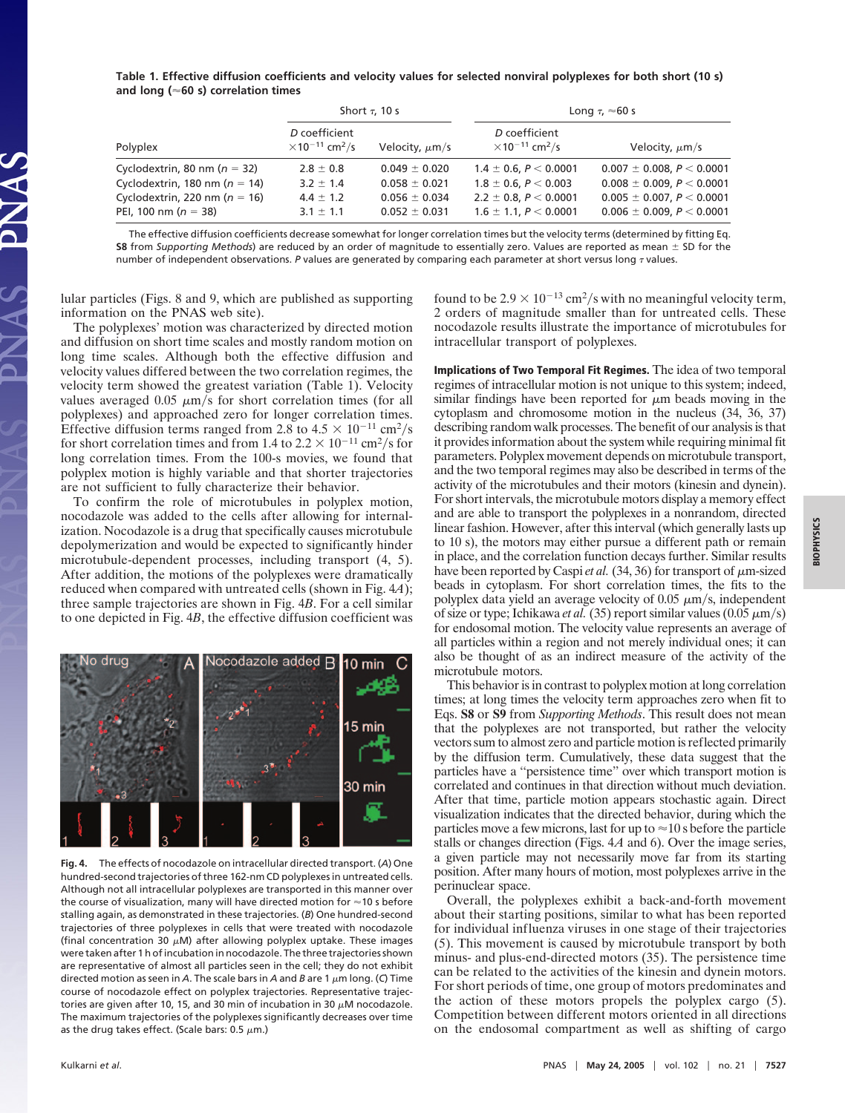**Table 1. Effective diffusion coefficients and velocity values for selected nonviral polyplexes for both short (10 s) and long (60 s) correlation times**

|                                   | Short $\tau$ , 10 s                                            |                     | Long $\tau$ , $\approx$ 60 s                                   |                                  |
|-----------------------------------|----------------------------------------------------------------|---------------------|----------------------------------------------------------------|----------------------------------|
| Polyplex                          | D coefficient<br>$\times$ 10 <sup>-11</sup> cm <sup>2</sup> /s | Velocity, $\mu$ m/s | D coefficient<br>$\times$ 10 <sup>-11</sup> cm <sup>2</sup> /s | Velocity, $\mu$ m/s              |
| Cyclodextrin, 80 nm ( $n = 32$ )  | $2.8 \pm 0.8$                                                  | $0.049 \pm 0.020$   | $1.4 \pm 0.6$ , $P < 0.0001$                                   | $0.007 \pm 0.008$ , $P < 0.0001$ |
| Cyclodextrin, 180 nm ( $n = 14$ ) | $3.2 \pm 1.4$                                                  | $0.058 \pm 0.021$   | $1.8 \pm 0.6$ , $P < 0.003$                                    | $0.008 \pm 0.009$ , $P < 0.0001$ |
| Cyclodextrin, 220 nm ( $n = 16$ ) | $4.4 \pm 1.2$                                                  | $0.056 \pm 0.034$   | $2.2 \pm 0.8$ , $P < 0.0001$                                   | $0.005 \pm 0.007$ , $P < 0.0001$ |
| PEI, 100 nm ( $n = 38$ )          | $3.1 \pm 1.1$                                                  | $0.052 \pm 0.031$   | $1.6 \pm 1.1$ , $P \le 0.0001$                                 | $0.006 \pm 0.009$ , $P < 0.0001$ |

The effective diffusion coefficients decrease somewhat for longer correlation times but the velocity terms (determined by fitting Eq. **S8** from *Supporting Methods*) are reduced by an order of magnitude to essentially zero. Values are reported as mean  $\pm$  SD for the number of independent observations.  $P$  values are generated by comparing each parameter at short versus long  $\tau$  values.

lular particles (Figs. 8 and 9, which are published as supporting information on the PNAS web site).

The polyplexes' motion was characterized by directed motion and diffusion on short time scales and mostly random motion on long time scales. Although both the effective diffusion and velocity values differed between the two correlation regimes, the velocity term showed the greatest variation (Table 1). Velocity values averaged 0.05  $\mu$ m/s for short correlation times (for all polyplexes) and approached zero for longer correlation times. Effective diffusion terms ranged from 2.8 to  $4.5 \times 10^{-11}$  cm<sup>2</sup>/s for short correlation times and from 1.4 to  $2.2 \times 10^{-11}$  cm<sup>2</sup>/s for long correlation times. From the 100-s movies, we found that polyplex motion is highly variable and that shorter trajectories are not sufficient to fully characterize their behavior.

To confirm the role of microtubules in polyplex motion, nocodazole was added to the cells after allowing for internalization. Nocodazole is a drug that specifically causes microtubule depolymerization and would be expected to significantly hinder microtubule-dependent processes, including transport (4, 5). After addition, the motions of the polyplexes were dramatically reduced when compared with untreated cells (shown in Fig. 4*A*); three sample trajectories are shown in Fig. 4*B*. For a cell similar to one depicted in Fig. 4*B*, the effective diffusion coefficient was



**Fig. 4.** The effects of nocodazole on intracellular directed transport. (*A*) One hundred-second trajectories of three 162-nm CD polyplexes in untreated cells. Although not all intracellular polyplexes are transported in this manner over the course of visualization, many will have directed motion for  $\approx$  10 s before stalling again, as demonstrated in these trajectories. (*B*) One hundred-second trajectories of three polyplexes in cells that were treated with nocodazole (final concentration 30  $\mu$ M) after allowing polyplex uptake. These images were taken after 1 h of incubation in nocodazole. The three trajectories shown are representative of almost all particles seen in the cell; they do not exhibit directed motion as seen in *A*. The scale bars in *A* and *B* are 1  $\mu$ m long. (C) Time course of nocodazole effect on polyplex trajectories. Representative trajectories are given after 10, 15, and 30 min of incubation in 30  $\mu$ M nocodazole. The maximum trajectories of the polyplexes significantly decreases over time as the drug takes effect. (Scale bars: 0.5  $\mu$ m.)

found to be  $2.9 \times 10^{-13}$  cm<sup>2</sup>/s with no meaningful velocity term, 2 orders of magnitude smaller than for untreated cells. These nocodazole results illustrate the importance of microtubules for intracellular transport of polyplexes.

**Implications of Two Temporal Fit Regimes.** The idea of two temporal regimes of intracellular motion is not unique to this system; indeed, similar findings have been reported for  $\mu$ m beads moving in the cytoplasm and chromosome motion in the nucleus (34, 36, 37) describing random walk processes. The benefit of our analysis is that it provides information about the system while requiring minimal fit parameters. Polyplex movement depends on microtubule transport, and the two temporal regimes may also be described in terms of the activity of the microtubules and their motors (kinesin and dynein). For short intervals, the microtubule motors display a memory effect and are able to transport the polyplexes in a nonrandom, directed linear fashion. However, after this interval (which generally lasts up to 10 s), the motors may either pursue a different path or remain in place, and the correlation function decays further. Similar results have been reported by Caspi *et al.* (34, 36) for transport of  $\mu$ m-sized beads in cytoplasm. For short correlation times, the fits to the polyplex data yield an average velocity of  $0.05 \mu m/s$ , independent of size or type; Ichikawa *et al.* (35) report similar values (0.05  $\mu$ m/s) for endosomal motion. The velocity value represents an average of all particles within a region and not merely individual ones; it can also be thought of as an indirect measure of the activity of the microtubule motors.

This behavior is in contrast to polyplex motion at long correlation times; at long times the velocity term approaches zero when fit to Eqs. **S8** or **S9** from *Supporting Methods*. This result does not mean that the polyplexes are not transported, but rather the velocity vectors sum to almost zero and particle motion is reflected primarily by the diffusion term. Cumulatively, these data suggest that the particles have a ''persistence time'' over which transport motion is correlated and continues in that direction without much deviation. After that time, particle motion appears stochastic again. Direct visualization indicates that the directed behavior, during which the particles move a few microns, last for up to  $\approx$  10 s before the particle stalls or changes direction (Figs. 4*A* and 6). Over the image series, a given particle may not necessarily move far from its starting position. After many hours of motion, most polyplexes arrive in the perinuclear space.

Overall, the polyplexes exhibit a back-and-forth movement about their starting positions, similar to what has been reported for individual influenza viruses in one stage of their trajectories (5). This movement is caused by microtubule transport by both minus- and plus-end-directed motors (35). The persistence time can be related to the activities of the kinesin and dynein motors. For short periods of time, one group of motors predominates and the action of these motors propels the polyplex cargo (5). Competition between different motors oriented in all directions on the endosomal compartment as well as shifting of cargo